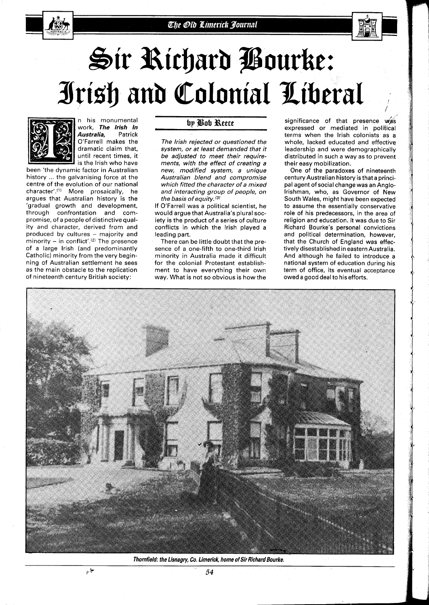# Sir Richard Bourke: **Ilris'b** *anb CoIoniaI*



n his monumental n his monumental **by Bob Reece work**, *The Irish In* Australia, Patrick<br>O'Farrell makes the

been 'the dynamic factor in Australian history ... the galvanising force at the centre of the evolution of our national character'.") More prosaically, he argues that Australian history is the 'gradual growth and development, through confrontation and compromise, of a people of distinctive quality and character, derived from and produced by cultures - majority and minority - in conflict'.<sup>(2)</sup> The presence of a large lrish (and predominantly Catholic) minority from the very beginning of Australian settlement he sees as the rnain obstacle to the replication of nineteenth century British society:

O'Farrell makes the The Irish rejected or questioned the dramatic claim that, system, or at least demanded that it system, or at least demanded that it until recent times, it be adjusted to meet their requireis the Irish who have ments, with the effect of creating a new, modified system, a unique Australian blend and compromise which fitted the character of a mixed and interacting group of people, on the basis of equity. **(3)** 

If O'Farrell was a political scientist, he would argue that Australia's plural society is the product of a series of culture conflicts in which the lrish played a leading part.

There can be little doubt that the presence of a one-fifth to one-third lrish minority in Australia made it difficult for the colonial Protestant establishment to have everything their own way. What is not so obvious is how the significance of that presence was expressed or mediated in political terms when the lrish colonists as a whole, lacked educated and effective leadership and were demographically distributed in such a way as to prevent their easy mobilization.

One of the paradoxes of nineteenth century Australian history is that a principal agent of social change was an Anglo-Irishman, who, as Governor of New South Wales, might have been expected to assume the essentially conservative role of his predecessors, in the area of religion and education. It was due to Sir Richard Bourke's personal convictions and political determination, however, that the Church of England was effectively disestablished in eastern Australia. And although he failed to introduce a national system of education during his term of office, its eventual acceptance owed a good deal to his efforts.



**Thornfield: the Lisnagry, Co. Limerick, home of Sir Richard Bourke.**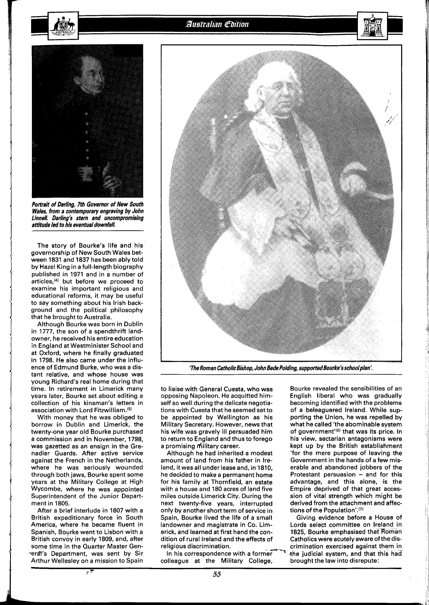

**Portrait of Darling, 7th Governor of New South Wales, from a contemporary engraving by John Linnell. Darling's stern and uncompromising attitude led to his eventual downfall.** 

The story of Bourke's life and his governorship of New South Wales between 1831 and 1837 has been ably told by Hazel King in a full-length biography published in 1971 and in a number of articles,<sup>(4)</sup> but before we proceed to examine his important religious and educational reforms, it may be useful to say something about his Irish background and the political philosophy that he brought to Australia.

Although Bourke was born in Dublin in 1777, the son of a spendthrift landowner, he received his entire education in England at Westminister School and at Oxford, where he finally graduated in 1798. He also came under the influence of Edmund Burke, who was a distant relative, and whose house was young Richard's real home during that time. In retirement in Limerick many years later, Bourke set about editing a collection of his kinsman's letters in association with Lord Fitzwilliam.<sup>(5)</sup>

With money that he was obliged to borrow in Dublin and Limerick, the twenty-one year old Bourke purchased a commission and in November, 1798, was gazetted as an ensign in the Grenadier Guards. After active service against the French in the Netherlands, where he was seriously wounded through both jaws, Bourke spent some years at the Military College at High Wycombe, where he was appointed Superintendent of the Junior Department in 1805.

After a brief interlude in 1807 with a British expeditionary force in South America, where he became fluent in Spanish, Bourke went to Lisbon with a British convoy in early 1809, and, after some time in the Quarter Master Gen reral's Department, was sent by Sir Arthur Wellesley on a mission to Spain

حبي



**7he Roman Catholic Bishop, John Bede Polding, supported Bourke'sschoolplan'.** 

to liaise with General Cuesta, who was opposing Napoleon. He acquitted himself so well during the delicate negotiations with Cuesta that he seemed set to be appointed by Wellington as his Military Secretary. However, news that his wife was gravely ill persuaded him to return to England and thus to forego a promising military career.

Although he had inherited a modest amount of land from his father in Ireland, it was all under lease and, in 1810, he decided to make a permanent home for his family at Thornfield, an estate with a house and 180 acres of land five miles outside Limerick City. During the next twenty-five years, interrupted only by another short term of service in Spain, Bourke lived the life of a small landowner and magistrate in Co. Limerick, and learned at first hand the condition of rural Ireland and the effects of religious discrimination.

In his correspondence with a former colleague at the Military College,

Bourke revealed the sensibilities of an English liberal who was gradually becoming identified with the problems of a beleaguered Ireland. While supporting the Union, he was repelled by what he called 'the abominable system of government<sup>'(6)</sup> that was its price. In his view, sectarian antagonisms were kept up by the British establishment 'for the mere purpose of leaving the Government in the hands of a few miserable and abandoned jobbers of the Protestant persuasion  $-$  and for this advantage, and this alone, is the Empire deprived of that great accession of vital strength which might be derived from the attachment and affections of the Population'. $(7)$ 

Giving evidence before a House of Lords select committee on Ireland in 1825, Bourke emphasised that Roman Catholics were acutely aware of the discrimination exercised against them in -the judicial system, and that this had brought the law into disrepute: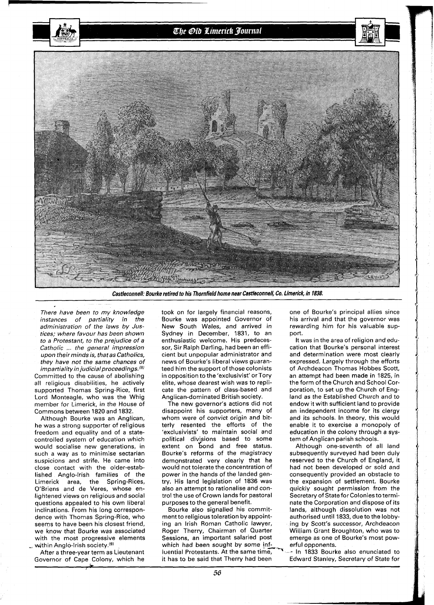The Old Limerick Journal



**Castleconnell: Bourke retired to his Thornfield home near Castleconnell, Co. Limerick,** in **1838.** 

There have been to my knowledge instances of partiality in the administration of the laws by Justices; where favour has been shown to a Protestant, to the prejudice of a Catholic ... the general impression upon their minds is, that as Catholics, they have not the same chances of impartiality in judicial proceedings.<sup>(8)</sup>

Committed to the cause of abolishing all religious disabilities, he actively supported Thomas Spring-Rice, first Lord Monteagle, who was the Whig member for Limerick, in the House of Commons between **1820** and **1832.** 

Although Bourke was an Anglican, he was a strong supporter of religious freedom and equality and of a statecontrolled system of education which would socialise new generations, in such a way as to minimise sectarian suspicions and strife. He came into close contact with the older-established Anglo-Irish families of the Limerick area, the Spring-Rices, O'Briens and de Veres, whose enlightened views on religious and social questions appealed to his own liberal inclinations. From his long correspondence with Thomas Spring-Rice, who seems to have been his closest friend, we know that Bourke was associated with the most progressive elements within Anglo-Irish society.(9)

After a three-year term as Lieutenant Governor of Cape Colony, which he

took on for largely financial reasons, Bourke was appointed Governor of New South Wales, and arrived in Sydney in December, **1831,** to an enthusiastic welcome. His predecessor, Sir Ralph Darling, had been an efficient but unpopular administrator and news of Bourke's liberal views guaranteed him the support of those colonists in opposition to the 'exclusivist' or Tory elite, whose dearest wish was to replicate the pattern of class-based and Anglican-dominated British society.

The new governor's actions did not disappoint his supporters, many of whom were of convict origin and bitterly resented the efforts of the 'exclusivists' to maintain social and political divisions based to some extent on bond and free status. Bourke's reforms of the magistracy demonstrated very clearly that he would not tolerate the concentration of power in the hands of the landed gentry. His land legislation of **1836** was also an attempt to rationalise and control the use of Crown lands for pastoral purposes to the general benefit.

Bourke also signalled his commitment to religious toleration by appointing an Irish Roman Catholic lawyer, Roger Therry, Chairman of Quarter Sessions, an important salaried post emerge as one of Bourke's most pow-<br>which had been sought by some inf-<br>luential Protestants. At the same time,<br>it has the said that Therm had been. From a Starley Session of State for which had been sought by some inf-<br>luential Protestants. At the same time. it has to be said that Therry had been Edward Stanley, Secretary of State for

one of Bourke's principal allies since his arrival and that the governor was rewarding him for his valuable support.

It was in the area of religion and education that Bourke's personal interest and determination were most clearly expressed. Largely through the efforts of Archdeacon Thomas Hobbes Scott, an attempt had been made in **1825,** in the form of the Church and School Corporation, to set up the Church of England as the Established Church and to endow it with sufficient land to provide an independent income for its clergy and its schools. In theory, this would enable it to exercise a monopoly of education in the colony through a system of Anglican parish schools.

Although one-seventh of all land subsequently surveyed had been duly reserved to the Church of England, it had not been developed or sold and consequently provided an obstacle to the expansion of settlement. Bourke quickly sought permission from the Secretary of State for Colonies to terminate the Corporation and dispose of its lands, although dissolution was not authorised until **1833,** due to the lobbying by Scott's successor, Archdeacon William Grant Broughton, who was to emerge as one of Bourke's most powerful opponents.<br>- In 1833 Bourke also enunciated to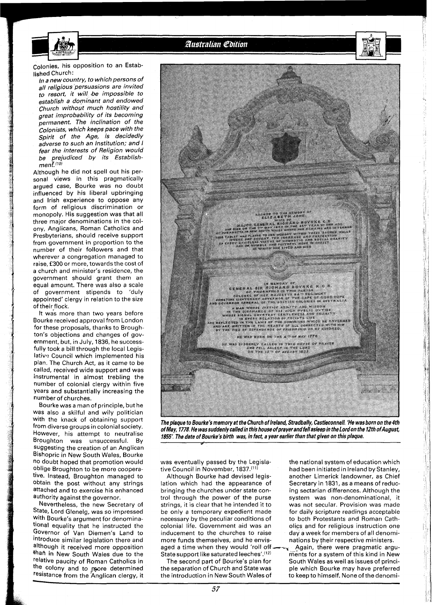

### Australian Edition

colonies, his opposition to an Established Church:

**In a newcountry, to which perSOnS of**  all religious persuasions are invited **to resort, it will be impossible to establish a dominant and endowed Church without much hostility and great improbability of its becoming permanent. The inclination of the ~o/onists, which keeps pace with the Spirit of the Age, is decidedly adverse to such an Institution; and I fear the interests of Religion would be prejudiced by its Establish**ment.<sup>(10)</sup>

Although he did not spell out his personal views in this pragmatically argued case, Bourke was no doubt influenced by his liberal upbringing and Irish experience to oppose any form of religious discrimination or monopoly. His suggestion was that all three major denominations in the colony, Anglicans, Roman Catholics and Presbyterians, should receive support from government in proportion to the number of their followers and that wherever a congregation managed to raise, £300 or more, towards the cost of a church and minister's residence, the government should grant them an equal amount. There was also a scale of government stipends to 'duly appointed' clergy in relation to the size of their flock.

It was more than two years before Bourke received approval from London for these proposals, thanks to Broughton's objections and changes of government, but, in July, 1836, he successfully took a bill through the local Legislative Council which implemented his plan. The Church Act, as it came to be callad, received wide support and was instrumental in almost trebling the number of colonial clergy within five years and substantially increasing the number of churches.

Bourke was a man of principle, but he was also a skilful and wily politician with the knack of obtaining support from diverse groups in colonial society. However, his attempt to neutralise Broughton was unsuccessful. By suggesting the creation of an Anglican Bishopric in New South Wales, Bourke no doubt hoped that promotion would oblige Broughton to be more cooperative. Instead, Broughton managed to obtain the post without any strings attached and to exercise his enhanced authority against the governor.

Nevertheless, the new Secretary of State, Lord Glenelg, was so impressed with Bourke's argument for denominational equality that he instructed the Governor of Van Diemen's Land to introduce similar legislation there and although it received more opposition than in New South Wales due to the relative paucity of Roman Catholics in the colony and to noore determined resistance from the Anglican clergy, it



**The plaque to Bourke's memory at the Church of Ireland, Stradbally, Casfleconnell. 'He was born on the4th**  of May, 1778. He was suddenly called in this house of prayer and fell asleep in the Lord on the 12th of August, 1855'. The date of Bourke's birth was, in fact, a year earlier than that given on this plaque.

Although Bourke had devised legis-<br>-another Limerick landowner, as Chief<br>-ation which had the appearance of Secretary in 1831, as a means of reducbringing the churches under state con- ing sectarian differences. Although the trol through the power of the purse system was non-denominational, it strings, it is clear that he intended it to was not secular. Provision was made be only a temporary expedient made for daily scripture readings acceptable necessary by the peculiar conditions of to both Protestants and Roman Cathcolonial life. Government aid was an olics and for religious instruction one inducement to the churches to raise day a week for members of all denomimore funds themselves, and he envis- nations by {heir respective ministers.

was eventually passed by the Legisla-<br>tive Council in November, 1837.<sup>(11)</sup> had been initiated in Ireland by Stanley, ve Council in November, 1837.<sup>(11)</sup> had been initiated in Ireland by Stanley,<br>Although Bourke had devised legis-**another Limerick landowner, as Chief** Secretary in 1831, as a means of reducto both Protestants and Roman Cath-

aged a time when they would 'roll off  $\rightarrow \infty$  Again, there were pragmatic argu-State support like saturated leeches'.<sup>(12)</sup> ments for a system of this kind in New The second part of Bourke's plan for South Wales as well as issues of princithe separation of Church and State was ple which Bourke may have preferred<br>the introduction in New South Wales of to keep to himself. None of the denomito keep to himself. None of the denomi-